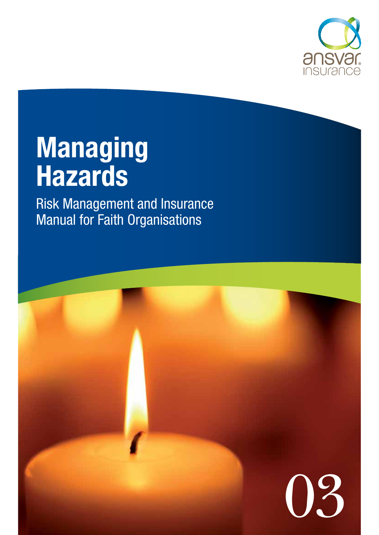

# **Managing Hazards**

Risk Management and Insurance Manual for Faith Organisations

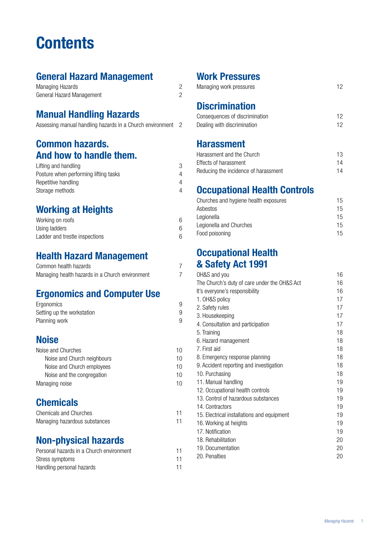## **Contents**

## **General Hazard Management**

| Managing Hazards          |  |
|---------------------------|--|
| General Hazard Management |  |

## **Manual Handling Hazards**

|  | Assessing manual handling hazards in a Church environment |  |
|--|-----------------------------------------------------------|--|
|--|-----------------------------------------------------------|--|

### **Common hazards. And how to handle them.**

| Lifting and handling                  |  |
|---------------------------------------|--|
| Posture when performing lifting tasks |  |
| Repetitive handling                   |  |
| Storage methods                       |  |

## **Working at Heights**

| Working on roofs               |  |
|--------------------------------|--|
| Using ladders                  |  |
| Ladder and trestle inspections |  |

## **Health Hazard Management**

| Common health hazards                           |  |
|-------------------------------------------------|--|
| Managing health hazards in a Church environment |  |

## **Ergonomics and Computer Use**

| Ergonomics                 |  |
|----------------------------|--|
| Setting up the workstation |  |
| Planning work              |  |

## **Noise**

| Noise and Churches          | 10 |
|-----------------------------|----|
| Noise and Church neighbours | 10 |
| Noise and Church employees  | 10 |
| Noise and the congregation  | 10 |
| Managing noise              | 10 |

## **Chemicals**

| Chemicals and Churches        |  |
|-------------------------------|--|
| Managing hazardous substances |  |

## **Non-physical hazards**

| Personal hazards in a Church environment | 11 |
|------------------------------------------|----|
| Stress symptoms                          | 11 |
| Handling personal hazards                | 11 |

## **Work Pressures**

| Managing work pressures |  |
|-------------------------|--|
|-------------------------|--|

## **Discrimination**

| Consequences of discrimination |  |
|--------------------------------|--|
| Dealing with discrimination    |  |

### **Harassment**

| Harassment and the Church            | 13 |
|--------------------------------------|----|
| Effects of harassment                | 14 |
| Reducing the incidence of harassment | 14 |

## **Occupational Health Controls**

| Churches and hygiene health exposures | 15 |
|---------------------------------------|----|
| Asbestos                              | 15 |
| Legionella                            | 15 |
| Legionella and Churches               | 15 |
| Food poisoning                        | 15 |

### **Occupational Health & Safety Act 1991**

| OH&S and you                                 | 16 |
|----------------------------------------------|----|
| The Church's duty of care under the OH&S Act | 16 |
| It's everyone's responsibility               | 16 |
| 1. OH&S policy                               | 17 |
| 2. Safety rules                              | 17 |
| 3. Housekeeping                              | 17 |
| 4. Consultation and participation            | 17 |
| 5. Training                                  | 18 |
| 6. Hazard management                         | 18 |
| 7. First aid                                 | 18 |
| 8. Emergency response planning               | 18 |
| 9. Accident reporting and investigation      | 18 |
| 10. Purchasing                               | 18 |
| 11. Manual handling                          | 19 |
| 12. Occupational health controls             | 19 |
| 13. Control of hazardous substances          | 19 |
| 14. Contractors                              | 19 |
| 15. Electrical installations and equipment   | 19 |
| 16. Working at heights                       | 19 |
| 17. Notification                             | 19 |
| 18. Rehabilitation                           | 20 |
| 19. Documentation                            | 20 |
| 20. Penalties                                | 20 |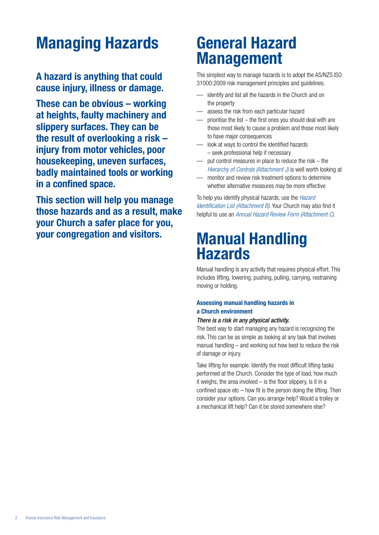## **Managing Hazards**

### **A hazard is anything that could cause injury, illness or damage.**

**These can be obvious – working at heights, faulty machinery and slippery surfaces. They can be the result of overlooking a risk – injury from motor vehicles, poor housekeeping, uneven surfaces, badly maintained tools or working in a confined space.**

**This section will help you manage those hazards and as a result, make your Church a safer place for you, your congregation and visitors.** 

## **General Hazard Management**

The simplest way to manage hazards is to adopt the AS/NZS ISO 31000:2009 risk management principles and guidelines.

- identify and list all the hazards in the Church and on the property
- assess the risk from each particular hazard
- prioritise the list  $-$  the first ones you should deal with are those most likely to cause a problem and those most likely to have major consequences
- look at ways to control the identified hazards – seek professional help if necessary
- put control measures in place to reduce the risk the *Hierarchy of Controls (Attachment J)* is well worth looking at
- monitor and review risk treatment options to determine whether alternative measures may be more effective

To help you identify physical hazards, use the *Hazard Identification List (Attachment B)*. Your Church may also find it helpful to use an *Annual Hazard Review Form (Attachment C)*.

## **Manual Handling Hazards**

Manual handling is any activity that requires physical effort. This includes lifting, lowering, pushing, pulling, carrying, restraining moving or holding.

### **Assessing manual handling hazards in a Church environment**

#### *There is a risk in any physical activity.*

The best way to start managing any hazard is recognizing the risk. This can be as simple as looking at any task that involves manual handling – and working out how best to reduce the risk of damage or injury.

Take lifting for example. Identify the most difficult lifting tasks performed at the Church. Consider the type of load, how much it weighs, the area involved – is the floor slippery, is it in a confined space  $etc - how$  fit is the person doing the lifting. Then consider your options. Can you arrange help? Would a trolley or a mechanical lift help? Can it be stored somewhere else?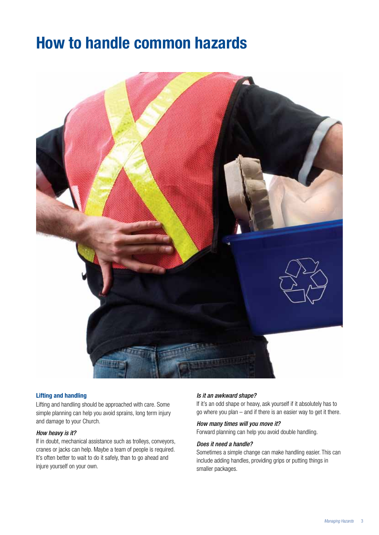## **How to handle common hazards**



#### **Lifting and handling**

Lifting and handling should be approached with care. Some simple planning can help you avoid sprains, long term injury and damage to your Church.

#### *How heavy is it?*

If in doubt, mechanical assistance such as trolleys, conveyors, cranes or jacks can help. Maybe a team of people is required. It's often better to wait to do it safely, than to go ahead and injure yourself on your own.

#### *Is it an awkward shape?*

If it's an odd shape or heavy, ask yourself if it absolutely has to go where you plan – and if there is an easier way to get it there.

### *How many times will you move it?*

Forward planning can help you avoid double handling.

#### *Does it need a handle?*

Sometimes a simple change can make handling easier. This can include adding handles, providing grips or putting things in smaller packages.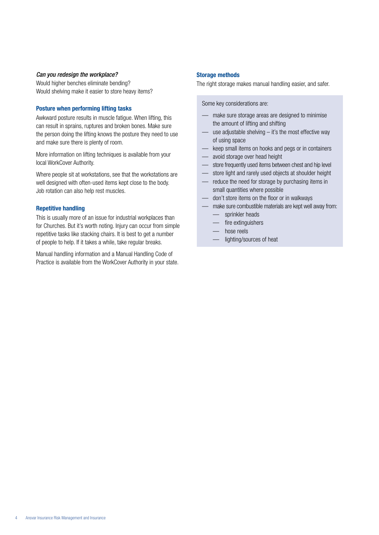#### *Can you redesign the workplace?*

Would higher benches eliminate bending? Would shelving make it easier to store heavy items?

#### **Posture when performing lifting tasks**

Awkward posture results in muscle fatigue. When lifting, this can result in sprains, ruptures and broken bones. Make sure the person doing the lifting knows the posture they need to use and make sure there is plenty of room.

More information on lifting techniques is available from your local WorkCover Authority.

Where people sit at workstations, see that the workstations are well designed with often-used items kept close to the body. Job rotation can also help rest muscles.

#### **Repetitive handling**

This is usually more of an issue for industrial workplaces than for Churches. But it's worth noting. Injury can occur from simple repetitive tasks like stacking chairs. It is best to get a number of people to help. If it takes a while, take regular breaks.

Manual handling information and a Manual Handling Code of Practice is available from the WorkCover Authority in your state.

#### **Storage methods**

The right storage makes manual handling easier, and safer.

Some key considerations are:

- make sure storage areas are designed to minimise the amount of lifting and shifting
- use adjustable shelving  $-$  it's the most effective way of using space
- keep small items on hooks and pegs or in containers
- avoid storage over head height
- store frequently used items between chest and hip level
- store light and rarely used objects at shoulder height
- reduce the need for storage by purchasing items in small quantities where possible
- don't store items on the floor or in walkways
- make sure combustible materials are kept well away from:
	- sprinkler heads
	- fire extinguishers
	- hose reels
	- lighting/sources of heat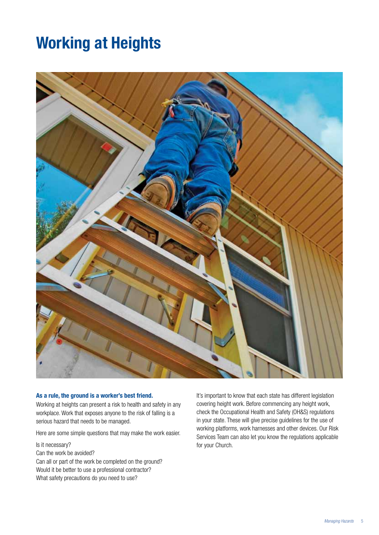## **Working at Heights**



#### **As a rule, the ground is a worker's best friend.**

Working at heights can present a risk to health and safety in any workplace. Work that exposes anyone to the risk of falling is a serious hazard that needs to be managed.

Here are some simple questions that may make the work easier.

Is it necessary?

Can the work be avoided?

Can all or part of the work be completed on the ground? Would it be better to use a professional contractor? What safety precautions do you need to use?

It's important to know that each state has different legislation covering height work. Before commencing any height work, check the Occupational Health and Safety (OH&S) regulations in your state. These will give precise guidelines for the use of working platforms, work harnesses and other devices. Our Risk Services Team can also let you know the regulations applicable for your Church.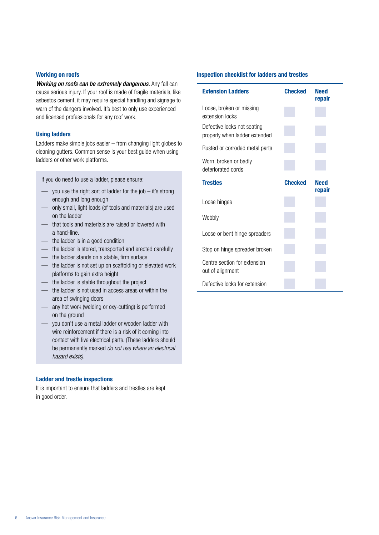#### **Working on roofs**

*Working on roofs can be extremely dangerous.* Any fall can cause serious injury. If your roof is made of fragile materials, like asbestos cement, it may require special handling and signage to warn of the dangers involved. It's best to only use experienced and licensed professionals for any roof work.

#### **Using ladders**

Ladders make simple jobs easier – from changing light globes to cleaning gutters. Common sense is your best guide when using ladders or other work platforms.

If you do need to use a ladder, please ensure:

- you use the right sort of ladder for the job it's strong enough and long enough
- only small, light loads (of tools and materials) are used on the ladder
- that tools and materials are raised or lowered with a hand-line.
- the ladder is in a good condition
- the ladder is stored, transported and erected carefully
- the ladder stands on a stable, firm surface
- the ladder is not set up on scaffolding or elevated work platforms to gain extra height
- the ladder is stable throughout the project
- the ladder is not used in access areas or within the area of swinging doors
- any hot work (welding or oxy-cutting) is performed on the ground
- you don't use a metal ladder or wooden ladder with wire reinforcement if there is a risk of it coming into contact with live electrical parts. (These ladders should be permanently marked *do not use where an electrical hazard exists).*

#### **Ladder and trestle inspections**

It is important to ensure that ladders and trestles are kept in good order.

#### **Inspection checklist for ladders and trestles**

| <b>Extension Ladders</b>                                     | <b>Checked</b> | <b>Need</b><br>repair |
|--------------------------------------------------------------|----------------|-----------------------|
| Loose, broken or missing<br>extension locks                  |                |                       |
| Defective locks not seating<br>properly when ladder extended |                |                       |
| Rusted or corroded metal parts                               |                |                       |
| Worn, broken or badly<br>deteriorated cords                  |                |                       |
| <b>Trestles</b>                                              | <b>Checked</b> | <b>Need</b><br>repair |
| Loose hinges                                                 |                |                       |
| Wobbly                                                       |                |                       |
| Loose or bent hinge spreaders                                |                |                       |
| Stop on hinge spreader broken                                |                |                       |
| Centre section for extension<br>out of alignment             |                |                       |
| Defective locks for extension                                |                |                       |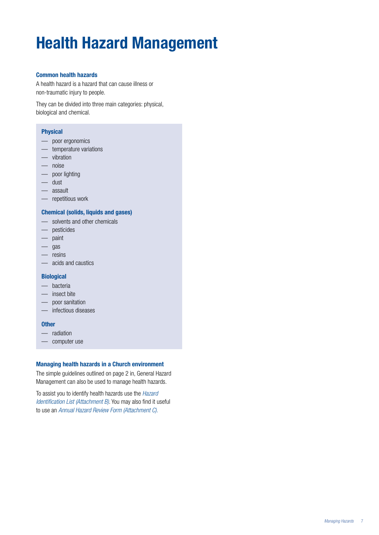# **Health Hazard Management**

#### **Common health hazards**

A health hazard is a hazard that can cause illness or non-traumatic injury to people.

They can be divided into three main categories: physical, biological and chemical.

#### **Physical**

- poor ergonomics
- temperature variations
- vibration
- noise
- poor lighting
- dust
- assault
- repetitious work

### **Chemical (solids, liquids and gases)**

- solvents and other chemicals
- pesticides
- paint
- gas
- resins
- acids and caustics

#### **Biological**

- bacteria
- insect bite
- poor sanitation
- infectious diseases

#### **Other**

- radiation
- computer use

#### **Managing health hazards in a Church environment**

The simple guidelines outlined on page 2 in, General Hazard Management can also be used to manage health hazards.

To assist you to identify health hazards use the *Hazard Identification List (Attachment B)*. You may also find it useful to use an *Annual Hazard Review Form (Attachment C).*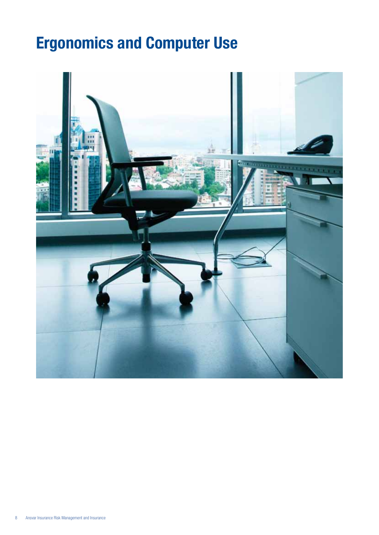# **Ergonomics and Computer Use**

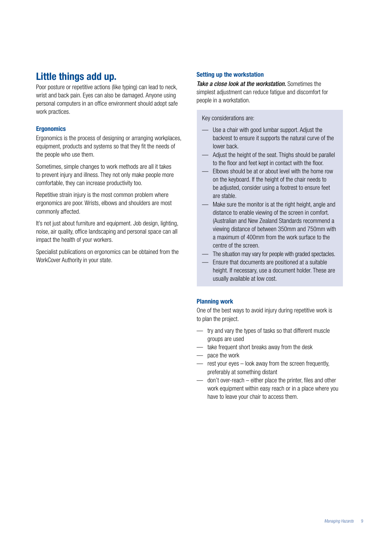## **Little things add up.**

Poor posture or repetitive actions (like typing) can lead to neck, wrist and back pain. Eyes can also be damaged. Anyone using personal computers in an office environment should adopt safe work practices.

### **Ergonomics**

Ergonomics is the process of designing or arranging workplaces, equipment, products and systems so that they fit the needs of the people who use them.

Sometimes, simple changes to work methods are all it takes to prevent injury and illness. They not only make people more comfortable, they can increase productivity too.

Repetitive strain injury is the most common problem where ergonomics are poor. Wrists, elbows and shoulders are most commonly affected.

It's not just about furniture and equipment. Job design, lighting, noise, air quality, office landscaping and personal space can all impact the health of your workers.

Specialist publications on ergonomics can be obtained from the WorkCover Authority in your state.

### **Setting up the workstation**

*Take a close look at the workstation.* Sometimes the simplest adjustment can reduce fatigue and discomfort for people in a workstation.

Key considerations are:

- Use a chair with good lumbar support. Adjust the backrest to ensure it supports the natural curve of the lower back.
- Adjust the height of the seat. Thighs should be parallel to the floor and feet kept in contact with the floor.
- Elbows should be at or about level with the home row on the keyboard. If the height of the chair needs to be adjusted, consider using a footrest to ensure feet are stable.
- Make sure the monitor is at the right height, angle and distance to enable viewing of the screen in comfort. (Australian and New Zealand Standards recommend a viewing distance of between 350mm and 750mm with a maximum of 400mm from the work surface to the centre of the screen.
- The situation may vary for people with graded spectacles.
- Ensure that documents are positioned at a suitable height. If necessary, use a document holder. These are usually available at low cost.

#### **Planning work**

One of the best ways to avoid injury during repetitive work is to plan the project.

- try and vary the types of tasks so that different muscle groups are used
- take frequent short breaks away from the desk
- pace the work
- rest your eyes look away from the screen frequently, preferably at something distant
- don't over-reach either place the printer, files and other work equipment within easy reach or in a place where you have to leave your chair to access them.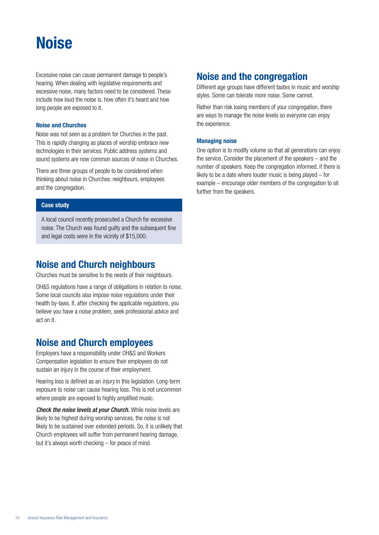## **Noise**

Excessive noise can cause permanent damage to people's hearing. When dealing with legislative requirements and excessive noise, many factors need to be considered. These include how loud the noise is, how often it's heard and how long people are exposed to it.

#### **Noise and Churches**

Noise was not seen as a problem for Churches in the past. This is rapidly changing as places of worship embrace new technologies in their services. Public address systems and sound systems are now common sources of noise in Churches.

There are three groups of people to be considered when thinking about noise in Churches: neighbours, employees and the congregation.

#### **Case study**

A local council recently prosecuted a Church for excessive noise. The Church was found guilty and the subsequent fine and legal costs were in the vicinity of \$15,000.

### **Noise and Church neighbours**

Churches must be sensitive to the needs of their neighbours.

OH&S regulations have a range of obligations in relation to noise. Some local councils also impose noise regulations under their health by-laws. If, after checking the applicable regulations, you believe you have a noise problem, seek professional advice and act on it.

### **Noise and Church employees**

Employers have a responsibility under OH&S and Workers Compensation legislation to ensure their employees do not sustain an injury in the course of their employment.

Hearing loss is defined as an *injury* in this legislation. Long-term exposure to noise can cause hearing loss. This is not uncommon where people are exposed to highly amplified music.

*Check the noise levels at your Church.* While noise levels are likely to be highest during worship services, the noise is not likely to be sustained over extended periods. So, it is unlikely that Church employees will suffer from permanent hearing damage, but it's always worth checking – for peace of mind.

### **Noise and the congregation**

Different age groups have different tastes in music and worship styles. Some can tolerate more noise. Some cannot.

Rather than risk losing members of your congregation, there are ways to manage the noise levels so everyone can enjoy the experience.

#### **Managing noise**

One option is to modify volume so that all generations can enjoy the service. Consider the placement of the speakers – and the number of speakers. Keep the congregation informed, if there is likely to be a date where louder music is being played – for example – encourage older members of the congregation to sit further from the speakers.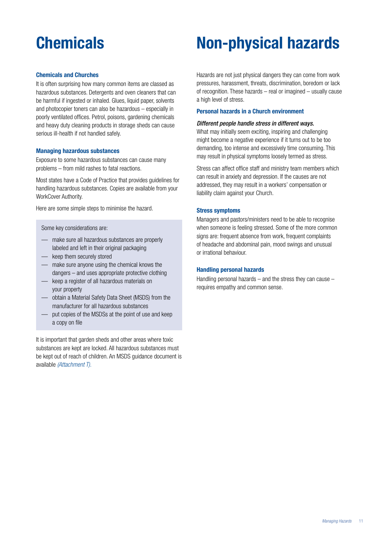#### **Chemicals and Churches**

It is often surprising how many common items are classed as hazardous substances. Detergents and oven cleaners that can be harmful if ingested or inhaled. Glues, liquid paper, solvents and photocopier toners can also be hazardous – especially in poorly ventilated offices. Petrol, poisons, gardening chemicals and heavy duty cleaning products in storage sheds can cause serious ill-health if not handled safely.

#### **Managing hazardous substances**

Exposure to some hazardous substances can cause many problems – from mild rashes to fatal reactions.

Most states have a Code of Practice that provides guidelines for handling hazardous substances. Copies are available from your WorkCover Authority.

Here are some simple steps to minimise the hazard.

Some key considerations are:

- make sure all hazardous substances are properly labeled and left in their original packaging
- keep them securely stored
- make sure anyone using the chemical knows the dangers – and uses appropriate protective clothing
- keep a register of all hazardous materials on your property
- obtain a Material Safety Data Sheet (MSDS) from the manufacturer for all hazardous substances
- put copies of the MSDSs at the point of use and keep a copy on file

It is important that garden sheds and other areas where toxic substances are kept are locked. All hazardous substances must be kept out of reach of children. An MSDS guidance document is available *(Attachment T).*

## **Chemicals Non-physical hazards**

Hazards are not just physical dangers they can come from work pressures, harassment, threats, discrimination, boredom or lack of recognition. These hazards – real or imagined – usually cause a high level of stress.

#### **Personal hazards in a Church environment**

#### *Different people handle stress in different ways.*

What may initially seem exciting, inspiring and challenging might become a negative experience if it turns out to be too demanding, too intense and excessively time consuming. This may result in physical symptoms loosely termed as stress.

Stress can affect office staff and ministry team members which can result in anxiety and depression. If the causes are not addressed, they may result in a workers' compensation or liability claim against your Church.

#### **Stress symptoms**

Managers and pastors/ministers need to be able to recognise when someone is feeling stressed. Some of the more common signs are: frequent absence from work, frequent complaints of headache and abdominal pain, mood swings and unusual or irrational behaviour.

#### **Handling personal hazards**

Handling personal hazards  $-$  and the stress they can cause  $$ requires empathy and common sense.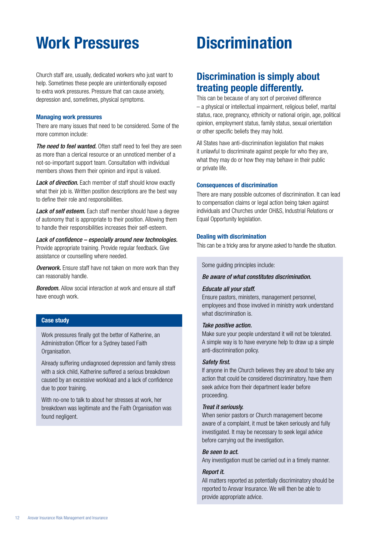## **Work Pressures Discrimination**

Church staff are, usually, dedicated workers who just want to help. Sometimes these people are unintentionally exposed to extra work pressures. Pressure that can cause anxiety, depression and, sometimes, physical symptoms.

#### **Managing work pressures**

There are many issues that need to be considered. Some of the more common include:

*The need to feel wanted.* Often staff need to feel they are seen as more than a clerical resource or an unnoticed member of a not-so-important support team. Consultation with individual members shows them their opinion and input is valued.

Lack of direction. Each member of staff should know exactly what their job is. Written position descriptions are the best way to define their role and responsibilities.

Lack of self esteem. Each staff member should have a degree of autonomy that is appropriate to their position. Allowing them to handle their responsibilities increases their self-esteem.

*Lack of confidence – especially around new technologies.*  Provide appropriate training. Provide regular feedback. Give assistance or counselling where needed.

*Overwork.* Ensure staff have not taken on more work than they can reasonably handle.

*Boredom.* Allow social interaction at work and ensure all staff have enough work.

#### **Case study**

Work pressures finally got the better of Katherine, an Administration Officer for a Sydney based Faith Organisation.

Already suffering undiagnosed depression and family stress with a sick child, Katherine suffered a serious breakdown caused by an excessive workload and a lack of confidence due to poor training.

With no-one to talk to about her stresses at work, her breakdown was legitimate and the Faith Organisation was found negligent.

### **Discrimination is simply about treating people differently.**

This can be because of any sort of perceived difference – a physical or intellectual impairment, religious belief, marital status, race, pregnancy, ethnicity or national origin, age, political opinion, employment status, family status, sexual orientation or other specific beliefs they may hold.

All States have anti-discrimination legislation that makes it unlawful to discriminate against people for who they are, what they may do or how they may behave in their public or private life.

#### **Consequences of discrimination**

There are many possible outcomes of discrimination. It can lead to compensation claims or legal action being taken against individuals and Churches under OH&S, Industrial Relations or Equal Opportunity legislation.

#### **Dealing with discrimination**

This can be a tricky area for anyone asked to handle the situation.

Some guiding principles include:

#### *Be aware of what constitutes discrimination.*

#### *Educate all your staff.*

Ensure pastors, ministers, management personnel, employees and those involved in ministry work understand what discrimination is.

#### *Take positive action.*

Make sure your people understand it will not be tolerated. A simple way is to have everyone help to draw up a simple anti-discrimination policy.

#### *Safety first.*

If anyone in the Church believes they are about to take any action that could be considered discriminatory, have them seek advice from their department leader before proceeding.

#### *Treat it seriously.*

When senior pastors or Church management become aware of a complaint, it must be taken seriously and fully investigated. It may be necessary to seek legal advice before carrying out the investigation.

#### *Be seen to act.*

Any investigation must be carried out in a timely manner.

#### *Report it.*

All matters reported as potentially discriminatory should be reported to Ansvar Insurance. We will then be able to provide appropriate advice.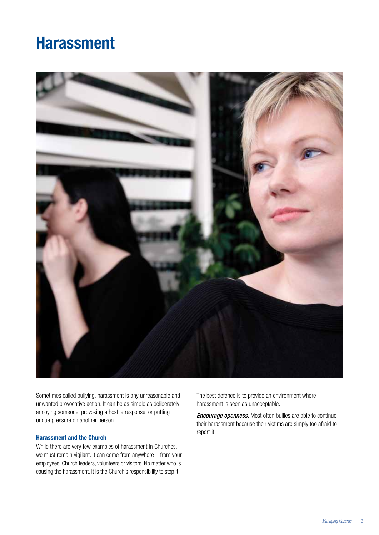## **Harassment**



Sometimes called bullying, harassment is any unreasonable and unwanted provocative action. It can be as simple as deliberately annoying someone, provoking a hostile response, or putting undue pressure on another person.

#### **Harassment and the Church**

While there are very few examples of harassment in Churches, we must remain vigilant. It can come from anywhere – from your employees, Church leaders, volunteers or visitors. No matter who is causing the harassment, it is the Church's responsibility to stop it.

The best defence is to provide an environment where harassment is seen as unacceptable.

*Encourage openness.* Most often bullies are able to continue their harassment because their victims are simply too afraid to report it.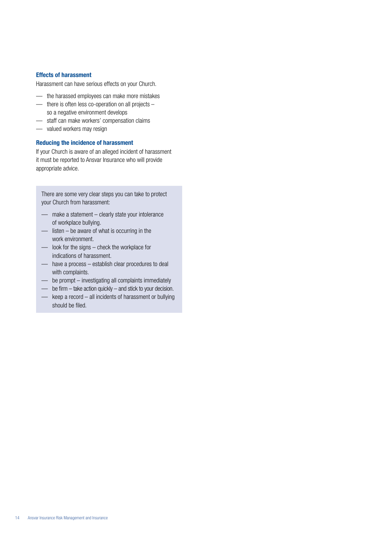#### **Effects of harassment**

Harassment can have serious effects on your Church.

- the harassed employees can make more mistakes
- there is often less co-operation on all projects so a negative environment develops
- staff can make workers' compensation claims
- valued workers may resign

#### **Reducing the incidence of harassment**

If your Church is aware of an alleged incident of harassment it must be reported to Ansvar Insurance who will provide appropriate advice.

There are some very clear steps you can take to protect your Church from harassment:

- make a statement clearly state your intolerance of workplace bullying.
- listen be aware of what is occurring in the work environment.
- look for the signs check the workplace for indications of harassment.
- have a process establish clear procedures to deal with complaints.
- be prompt investigating all complaints immediately
- be firm take action quickly and stick to your decision.
- keep a record all incidents of harassment or bullying should be filed.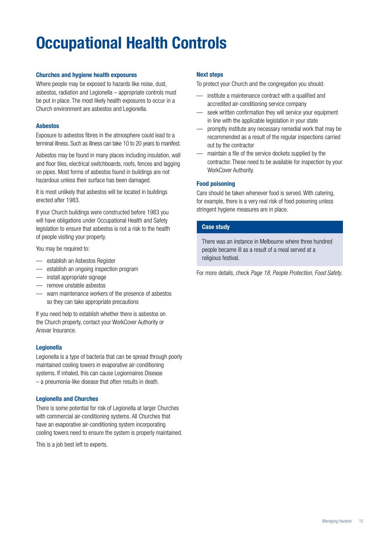# **Occupational Health Controls**

#### **Churches and hygiene health exposures**

Where people may be exposed to hazards like noise, dust, asbestos, radiation and Legionella – appropriate controls must be put in place. The most likely health exposures to occur in a Church environment are asbestos and Legionella.

#### **Asbestos**

Exposure to asbestos fibres in the atmosphere could lead to a terminal illness. Such as illness can take 10 to 20 years to manifest.

Asbestos may be found in many places including insulation, wall and floor tiles, electrical switchboards, roofs, fences and lagging on pipes. Most forms of asbestos found in buildings are not hazardous unless their surface has been damaged.

It is most unlikely that asbestos will be located in buildings erected after 1983.

If your Church buildings were constructed before 1983 you will have obligations under Occupational Health and Safety legislation to ensure that asbestos is not a risk to the health of people visiting your property.

You may be required to:

- establish an Asbestos Register
- establish an ongoing inspection program
- install appropriate signage
- remove unstable asbestos
- warn maintenance workers of the presence of asbestos so they can take appropriate precautions

If you need help to establish whether there is asbestos on the Church property, contact your WorkCover Authority or Ansvar Insurance.

#### **Legionella**

Legionella is a type of bacteria that can be spread through poorly maintained cooling towers in evaporative air-conditioning systems. If inhaled, this can cause Legionnaires Disease – a pneumonia-like disease that often results in death.

#### **Legionella and Churches**

There is some potential for risk of Legionella at larger Churches with commercial air-conditioning systems. All Churches that have an evaporative air-conditioning system incorporating cooling towers need to ensure the system is properly maintained.

This is a job best left to experts.

#### **Next steps**

To protect your Church and the congregation you should:

- institute a maintenance contract with a qualified and accredited air-conditioning service company
- seek written confirmation they will service your equipment in line with the applicable legislation in your state
- promptly institute any necessary remedial work that may be recommended as a result of the regular inspections carried out by the contractor
- maintain a file of the service dockets supplied by the contractor. These need to be available for inspection by your WorkCover Authority.

#### **Food poisoning**

Care should be taken whenever food is served. With catering, for example, there is a very real risk of food poisoning unless stringent hygiene measures are in place.

#### **Case study**

There was an instance in Melbourne where three hundred people became ill as a result of a meal served at a religious festival.

For more details, check *Page 18, People Protection, Food Safety*.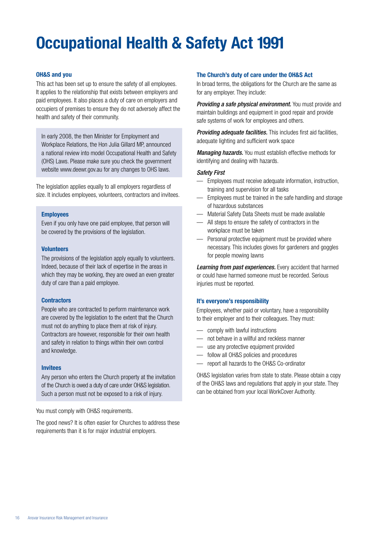# **Occupational Health & Safety Act 1991**

#### **OH&S and you**

This act has been set up to ensure the safety of all employees. It applies to the relationship that exists between employers and paid employees. It also places a duty of care on employers and occupiers of premises to ensure they do not adversely affect the health and safety of their community.

In early 2008, the then Minister for Employment and Workplace Relations, the Hon Julia Gillard MP, announced a national review into model Occupational Health and Safety (OHS) Laws. Please make sure you check the government website www.deewr.gov.au for any changes to OHS laws.

The legislation applies equally to all employers regardless of size. It includes employees, volunteers, contractors and invitees.

#### **Employees**

Even if you only have one paid employee, that person will be covered by the provisions of the legislation.

#### **Volunteers**

The provisions of the legislation apply equally to volunteers. Indeed, because of their lack of expertise in the areas in which they may be working, they are owed an even greater duty of care than a paid employee.

#### **Contractors**

People who are contracted to perform maintenance work are covered by the legislation to the extent that the Church must not do anything to place them at risk of injury. Contractors are however, responsible for their own health and safety in relation to things within their own control and knowledge.

#### **Invitees**

Any person who enters the Church property at the invitation of the Church is owed a duty of care under OH&S legislation. Such a person must not be exposed to a risk of injury.

You must comply with OH&S requirements.

The good news? It is often easier for Churches to address these requirements than it is for major industrial employers.

#### **The Church's duty of care under the OH&S Act**

In broad terms, the obligations for the Church are the same as for any employer. They include:

*Providing a safe physical environment.* You must provide and maintain buildings and equipment in good repair and provide safe systems of work for employees and others.

*Providing adequate facilities.* This includes first aid facilities, adequate lighting and sufficient work space

*Managing hazards.* You must establish effective methods for identifying and dealing with hazards.

#### *Safety First*

- Employees must receive adequate information, instruction, training and supervision for all tasks
- Employees must be trained in the safe handling and storage of hazardous substances
- Material Safety Data Sheets must be made available
- All steps to ensure the safety of contractors in the workplace must be taken
- Personal protective equipment must be provided where necessary. This includes gloves for gardeners and goggles for people mowing lawns

*Learning from past experiences.* Every accident that harmed or could have harmed someone must be recorded. Serious injuries must be reported.

#### **It's everyone's responsibility**

Employees, whether paid or voluntary, have a responsibility to their employer and to their colleagues. They must:

- comply with lawful instructions
- not behave in a willful and reckless manner
- use any protective equipment provided
- follow all OH&S policies and procedures
- report all hazards to the OH&S Co-ordinator

OH&S legislation varies from state to state. Please obtain a copy of the OH&S laws and regulations that apply in your state. They can be obtained from your local WorkCover Authority.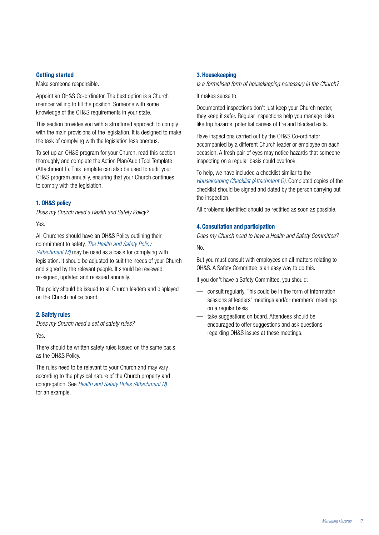#### **Getting started**

Make someone responsible.

Appoint an OH&S Co-ordinator. The best option is a Church member willing to fill the position. Someone with some knowledge of the OH&S requirements in your state.

This section provides you with a structured approach to comply with the main provisions of the legislation. It is designed to make the task of complying with the legislation less onerous.

To set up an OH&S program for your Church, read this section thoroughly and complete the Action Plan/Audit Tool Template (Attachment L). This template can also be used to audit your OH&S program annually, ensuring that your Church continues to comply with the legislation.

#### **1. OH&S policy**

*Does my Church need a Health and Safety Policy?*

Yes.

All Churches should have an OH&S Policy outlining their commitment to safety. *The Health and Safety Policy (Attachment M)* may be used as a basis for complying with legislation. It should be adjusted to suit the needs of your Church and signed by the relevant people. It should be reviewed, re-signed, updated and reissued annually.

The policy should be issued to all Church leaders and displayed on the Church notice board.

#### **2. Safety rules**

*Does my Church need a set of safety rules?*

Yes.

There should be written safety rules issued on the same basis as the OH&S Policy.

The rules need to be relevant to your Church and may vary according to the physical nature of the Church property and congregation. See *Health and Safety Rules (Attachment N)* for an example.

#### **3. Housekeeping**

*Is a formalised form of housekeeping necessary in the Church?*

It makes sense to.

Documented inspections don't just keep your Church neater, they keep it safer. Regular inspections help you manage risks like trip hazards, potential causes of fire and blocked exits.

Have inspections carried out by the OH&S Co-ordinator accompanied by a different Church leader or employee on each occasion. A fresh pair of eyes may notice hazards that someone inspecting on a regular basis could overlook.

To help, we have included a checklist similar to the *Housekeeping Checklist (Attachment O)*. Completed copies of the checklist should be signed and dated by the person carrying out the inspection.

All problems identified should be rectified as soon as possible.

#### **4. Consultation and participation**

*Does my Church need to have a Health and Safety Committee?*

No.

But you must consult with employees on all matters relating to OH&S. A Safety Committee is an easy way to do this.

If you don't have a Safety Committee, you should:

- consult regularly. This could be in the form of information sessions at leaders' meetings and/or members' meetings on a regular basis
- take suggestions on board. Attendees should be encouraged to offer suggestions and ask questions regarding OH&S issues at these meetings.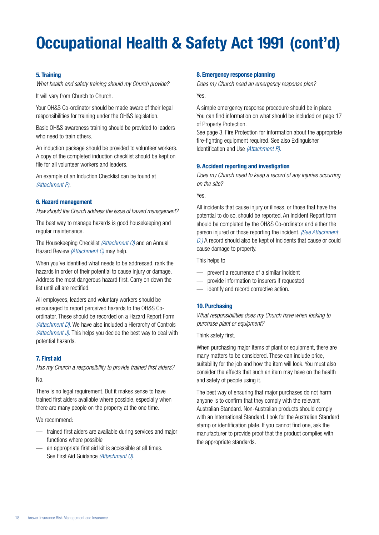# **Occupational Health & Safety Act 1991 (cont'd)**

#### **5. Training**

*What health and safety training should my Church provide?*

It will vary from Church to Church.

Your OH&S Co-ordinator should be made aware of their legal responsibilities for training under the OH&S legislation.

Basic OH&S awareness training should be provided to leaders who need to train others.

An induction package should be provided to volunteer workers. A copy of the completed induction checklist should be kept on file for all volunteer workers and leaders.

An example of an Induction Checklist can be found at *(Attachment P)*.

#### **6. Hazard management**

*How should the Church address the issue of hazard management?*

The best way to manage hazards is good housekeeping and regular maintenance.

The Housekeeping Checklist *(Attachment O)* and an Annual Hazard Review *(Attachment C)* may help.

When you've identified what needs to be addressed, rank the hazards in order of their potential to cause injury or damage. Address the most dangerous hazard first. Carry on down the list until all are rectified.

All employees, leaders and voluntary workers should be encouraged to report perceived hazards to the OH&S Coordinator. These should be recorded on a Hazard Report Form *(Attachment D).* We have also included a Hierarchy of Controls *(Attachment J).* This helps you decide the best way to deal with potential hazards.

#### **7. First aid**

*Has my Church a responsibility to provide trained first aiders?*

No.

There is no legal requirement. But it makes sense to have trained first aiders available where possible, especially when there are many people on the property at the one time.

We recommend:

- trained first aiders are available during services and major functions where possible
- an appropriate first aid kit is accessible at all times. See First Aid Guidance *(Attachment Q).*

#### **8. Emergency response planning**

*Does my Church need an emergency response plan?*

Yes.

A simple emergency response procedure should be in place. You can find information on what should be included on page 17 of Property Protection.

See page 3, Fire Protection for information about the appropriate fire-fighting equipment required. See also Extinguisher Identification and Use *(Attachment R).*

#### **9. Accident reporting and investigation**

*Does my Church need to keep a record of any injuries occurring on the site?*

Yes.

All incidents that cause injury or illness, or those that have the potential to do so, should be reported. An Incident Report form should be completed by the OH&S Co-ordinator and either the person injured or those reporting the incident. *(See Attachment D.)* A record should also be kept of incidents that cause or could cause damage to property.

This helps to

- prevent a recurrence of a similar incident
- provide information to insurers if requested
- identify and record corrective action.

#### **10. Purchasing**

*What responsibilities does my Church have when looking to purchase plant or equipment?*

Think safety first.

When purchasing major items of plant or equipment, there are many matters to be considered. These can include price, suitability for the job and how the item will look. You must also consider the effects that such an item may have on the health and safety of people using it.

The best way of ensuring that major purchases do not harm anyone is to confirm that they comply with the relevant Australian Standard. Non-Australian products should comply with an International Standard. Look for the Australian Standard stamp or identification plate. If you cannot find one, ask the manufacturer to provide proof that the product complies with the appropriate standards.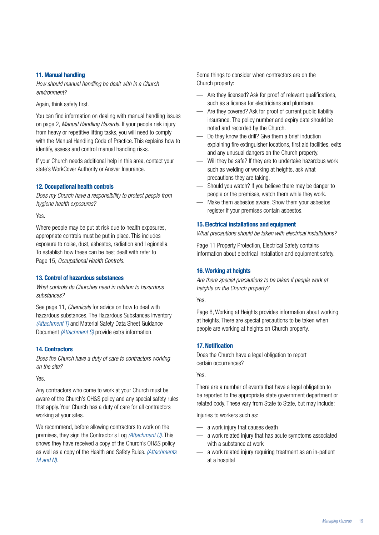#### **11. Manual handling**

*How should manual handling be dealt with in a Church environment?* 

Again, think safety first.

You can find information on dealing with manual handling issues on page 2, *Manual Handling Hazards*. If your people risk injury from heavy or repetitive lifting tasks, you will need to comply with the Manual Handling Code of Practice. This explains how to identify, assess and control manual handling risks.

If your Church needs additional help in this area, contact your state's WorkCover Authority or Ansvar Insurance.

#### **12. Occupational health controls**

*Does my Church have a responsibility to protect people from hygiene health exposures?*

Yes.

Where people may be put at risk due to health exposures, appropriate controls must be put in place. This includes exposure to noise, dust, asbestos, radiation and Legionella. To establish how these can be best dealt with refer to Page 15, *Occupational Health Controls.*

#### **13. Control of hazardous substances**

*What controls do Churches need in relation to hazardous substances?*

See page 11, *Chemicals* for advice on how to deal with hazardous substances. The Hazardous Substances Inventory *(Attachment T)* and Material Safety Data Sheet Guidance Document *(Attachment S)* provide extra information.

#### **14. Contractors**

*Does the Church have a duty of care to contractors working on the site?*

Yes.

Any contractors who come to work at your Church must be aware of the Church's OH&S policy and any special safety rules that apply. Your Church has a duty of care for all contractors working at your sites.

We recommend, before allowing contractors to work on the premises, they sign the Contractor's Log *(Attachment U)*. This shows they have received a copy of the Church's OH&S policy as well as a copy of the Health and Safety Rules. *(Attachments M and N).*

Some things to consider when contractors are on the Church property:

- Are they licensed? Ask for proof of relevant qualifications, such as a license for electricians and plumbers.
- Are they covered? Ask for proof of current public liability insurance. The policy number and expiry date should be noted and recorded by the Church.
- Do they know the drill? Give them a brief induction explaining fire extinguisher locations, first aid facilities, exits and any unusual dangers on the Church property.
- Will they be safe? If they are to undertake hazardous work such as welding or working at heights, ask what precautions they are taking.
- Should you watch? If you believe there may be danger to people or the premises, watch them while they work.
- Make them asbestos aware. Show them your asbestos register if your premises contain asbestos.

#### **15. Electrical installations and equipment**

*What precautions should be taken with electrical installations?*

Page 11 Property Protection, Electrical Safety contains information about electrical installation and equipment safety.

#### **16. Working at heights**

*Are there special precautions to be taken if people work at heights on the Church property?*

Yes.

Page 6, Working at Heights provides information about working at heights. There are special precautions to be taken when people are working at heights on Church property.

#### **17. Notification**

Does the Church have a legal obligation to report certain occurrences?

Yes.

There are a number of events that have a legal obligation to be reported to the appropriate state government department or related body. These vary from State to State, but may include:

Injuries to workers such as:

- a work injury that causes death
- a work related injury that has acute symptoms associated with a substance at work
- a work related injury requiring treatment as an in-patient at a hospital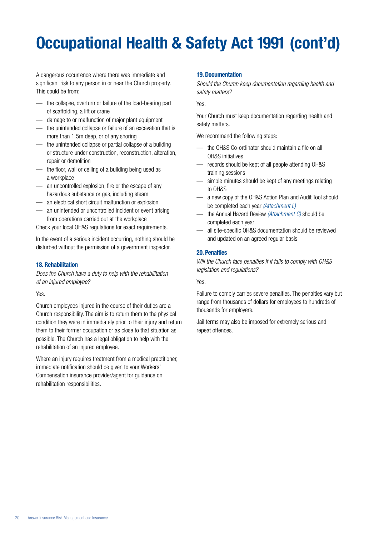# **Occupational Health & Safety Act 1991 (cont'd)**

A dangerous occurrence where there was immediate and significant risk to any person in or near the Church property. This could be from:

- the collapse, overturn or failure of the load-bearing part of scaffolding, a lift or crane
- damage to or malfunction of major plant equipment
- the unintended collapse or failure of an excavation that is more than 1.5m deep, or of any shoring
- the unintended collapse or partial collapse of a building or structure under construction, reconstruction, alteration, repair or demolition
- the floor, wall or ceiling of a building being used as a workplace
- an uncontrolled explosion, fire or the escape of any hazardous substance or gas, including steam
- an electrical short circuit malfunction or explosion
- an unintended or uncontrolled incident or event arising from operations carried out at the workplace

Check your local OH&S regulations for exact requirements.

In the event of a serious incident occurring, nothing should be disturbed without the permission of a government inspector.

#### **18. Rehabilitation**

*Does the Church have a duty to help with the rehabilitation of an injured employee?*

Yes.

Church employees injured in the course of their duties are a Church responsibility. The aim is to return them to the physical condition they were in immediately prior to their injury and return them to their former occupation or as close to that situation as possible. The Church has a legal obligation to help with the rehabilitation of an injured employee.

Where an injury requires treatment from a medical practitioner, immediate notification should be given to your Workers' Compensation insurance provider/agent for guidance on rehabilitation responsibilities.

#### **19. Documentation**

*Should the Church keep documentation regarding health and safety matters?*

Yes.

Your Church must keep documentation regarding health and safety matters.

We recommend the following steps:

- the OH&S Co-ordinator should maintain a file on all OH&S initiatives
- records should be kept of all people attending OH&S training sessions
- simple minutes should be kept of any meetings relating to OH&S
- a new copy of the OH&S Action Plan and Audit Tool should be completed each year *(Attachment L)*
- the Annual Hazard Review *(Attachment C)* should be completed each year
- all site-specific OH&S documentation should be reviewed and updated on an agreed regular basis

#### **20. Penalties**

*Will the Church face penalties if it fails to comply with OH&S legislation and regulations?*

#### Yes.

Failure to comply carries severe penalties. The penalties vary but range from thousands of dollars for employees to hundreds of thousands for employers.

Jail terms may also be imposed for extremely serious and repeat offences.